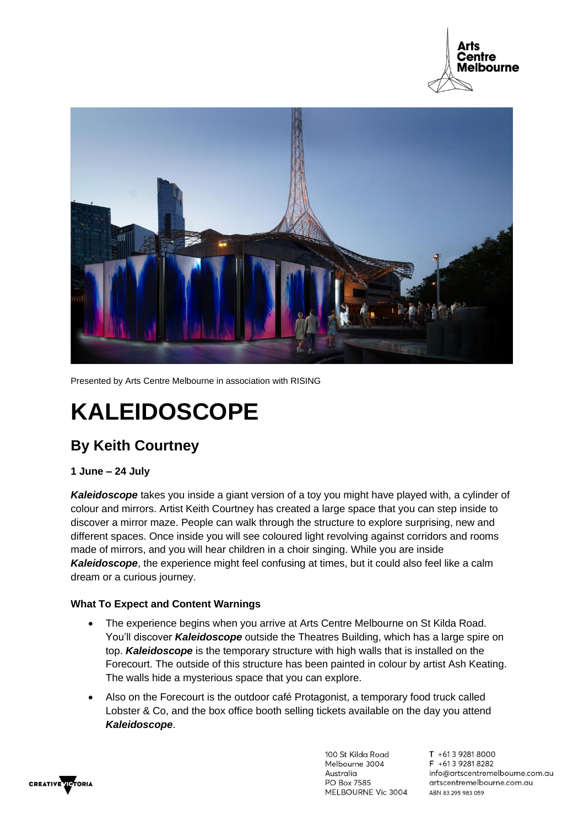



Presented by Arts Centre Melbourne in association with RISING

# **KALEIDOSCOPE**

## **By Keith Courtney**

#### **1 June – 24 July**

*Kaleidoscope* takes you inside a giant version of a toy you might have played with, a cylinder of colour and mirrors. Artist Keith Courtney has created a large space that you can step inside to discover a mirror maze. People can walk through the structure to explore surprising, new and different spaces. Once inside you will see coloured light revolving against corridors and rooms made of mirrors, and you will hear children in a choir singing. While you are inside *Kaleidoscope*, the experience might feel confusing at times, but it could also feel like a calm dream or a curious journey.

#### **What To Expect and Content Warnings**

- The experience begins when you arrive at Arts Centre Melbourne on St Kilda Road. You'll discover *Kaleidoscope* outside the Theatres Building, which has a large spire on top. *Kaleidoscope* is the temporary structure with high walls that is installed on the Forecourt. The outside of this structure has been painted in colour by artist Ash Keating. The walls hide a mysterious space that you can explore.
- Also on the Forecourt is the outdoor café Protagonist, a temporary food truck called Lobster & Co, and the box office booth selling tickets available on the day you attend *Kaleidoscope*.



100 St Kilda Road Melbourne 3004 Australia PO Box 7585 MELBOURNE Vic 3004

T +61 3 9281 8000 F +613 9281 8282 info@artscentremelbourne.com.au artscentremelbourne.com.au ABN 83 295 983 059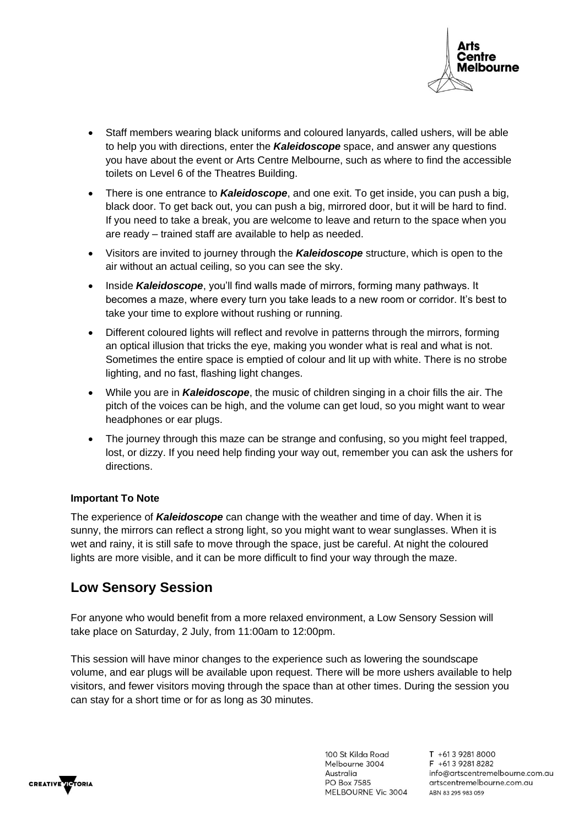

- Staff members wearing black uniforms and coloured lanyards, called ushers, will be able to help you with directions, enter the *Kaleidoscope* space, and answer any questions you have about the event or Arts Centre Melbourne, such as where to find the accessible toilets on Level 6 of the Theatres Building.
- There is one entrance to *Kaleidoscope*, and one exit. To get inside, you can push a big, black door. To get back out, you can push a big, mirrored door, but it will be hard to find. If you need to take a break, you are welcome to leave and return to the space when you are ready – trained staff are available to help as needed.
- Visitors are invited to journey through the *Kaleidoscope* structure, which is open to the air without an actual ceiling, so you can see the sky.
- Inside *Kaleidoscope*, you'll find walls made of mirrors, forming many pathways. It becomes a maze, where every turn you take leads to a new room or corridor. It's best to take your time to explore without rushing or running.
- Different coloured lights will reflect and revolve in patterns through the mirrors, forming an optical illusion that tricks the eye, making you wonder what is real and what is not. Sometimes the entire space is emptied of colour and lit up with white. There is no strobe lighting, and no fast, flashing light changes.
- While you are in *Kaleidoscope*, the music of children singing in a choir fills the air. The pitch of the voices can be high, and the volume can get loud, so you might want to wear headphones or ear plugs.
- The journey through this maze can be strange and confusing, so you might feel trapped, lost, or dizzy. If you need help finding your way out, remember you can ask the ushers for directions.

#### **Important To Note**

The experience of *Kaleidoscope* can change with the weather and time of day. When it is sunny, the mirrors can reflect a strong light, so you might want to wear sunglasses. When it is wet and rainy, it is still safe to move through the space, just be careful. At night the coloured lights are more visible, and it can be more difficult to find your way through the maze.

### **Low Sensory Session**

For anyone who would benefit from a more relaxed environment, a Low Sensory Session will take place on Saturday, 2 July, from 11:00am to 12:00pm.

This session will have minor changes to the experience such as lowering the soundscape volume, and ear plugs will be available upon request. There will be more ushers available to help visitors, and fewer visitors moving through the space than at other times. During the session you can stay for a short time or for as long as 30 minutes.



100 St Kilda Road Melbourne 3004 Australia **PO Box 7585** MELBOURNE Vic 3004

T +61 3 9281 8000 F +613 9281 8282 info@artscentremelbourne.com.au artscentremelbourne.com.au ABN 83 295 983 059